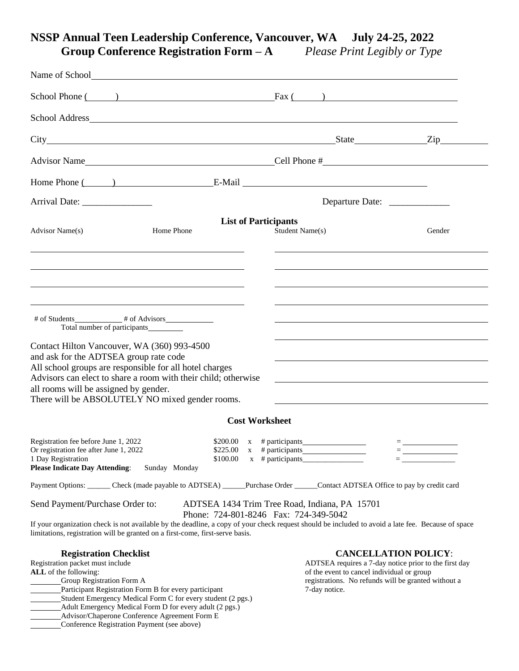# **NSSP Annual Teen Leadership Conference, Vancouver, WA July 24-25, 2022 Group Conference Registration Form – A** *Please Print Legibly or Type*

| School Phone $\qquad)$ Fax $\qquad)$                                                                                                                                                                                                                                                                                                                     |                                                              |                                                                                                                                                                             |                                                                        |
|----------------------------------------------------------------------------------------------------------------------------------------------------------------------------------------------------------------------------------------------------------------------------------------------------------------------------------------------------------|--------------------------------------------------------------|-----------------------------------------------------------------------------------------------------------------------------------------------------------------------------|------------------------------------------------------------------------|
|                                                                                                                                                                                                                                                                                                                                                          |                                                              |                                                                                                                                                                             |                                                                        |
|                                                                                                                                                                                                                                                                                                                                                          |                                                              |                                                                                                                                                                             |                                                                        |
|                                                                                                                                                                                                                                                                                                                                                          |                                                              |                                                                                                                                                                             |                                                                        |
| Home Phone ( ) E-Mail E-Mail                                                                                                                                                                                                                                                                                                                             |                                                              |                                                                                                                                                                             |                                                                        |
| Arrival Date: __________________                                                                                                                                                                                                                                                                                                                         |                                                              | Departure Date: ______________                                                                                                                                              |                                                                        |
| Advisor Name(s)                                                                                                                                                                                                                                                                                                                                          | <b>List of Participants</b><br>Home Phone                    | Student Name(s)                                                                                                                                                             | Gender                                                                 |
|                                                                                                                                                                                                                                                                                                                                                          |                                                              |                                                                                                                                                                             |                                                                        |
| Total number of participants__________<br>Contact Hilton Vancouver, WA (360) 993-4500<br>and ask for the ADTSEA group rate code<br>All school groups are responsible for all hotel charges<br>Advisors can elect to share a room with their child; otherwise<br>all rooms will be assigned by gender.<br>There will be ABSOLUTELY NO mixed gender rooms. |                                                              | <u> 1989 - Johann Stoff, amerikansk politiker (* 1908)</u>                                                                                                                  |                                                                        |
|                                                                                                                                                                                                                                                                                                                                                          | <b>Cost Worksheet</b>                                        |                                                                                                                                                                             |                                                                        |
| Registration fee before June 1, 2022<br>Or registration fee after June 1, 2022<br>1 Day Registration<br><b>Please Indicate Day Attending:</b>                                                                                                                                                                                                            | $$200.00 \times #$ participants<br>\$100.00<br>Sunday Monday | $$225.00 \times #$ participants<br>$x \neq$ participants                                                                                                                    | $\qquad \qquad =$<br>$\equiv$ . The contract of the contract of $\sim$ |
| Payment Options: Check (made payable to ADTSEA) _____Purchase Order _____Contact ADTSEA Office to pay by credit card                                                                                                                                                                                                                                     |                                                              |                                                                                                                                                                             |                                                                        |
| Send Payment/Purchase Order to:<br>If your organization check is not available by the deadline, a copy of your check request should be included to avoid a late fee. Because of space<br>limitations, registration will be granted on a first-come, first-serve basis.                                                                                   |                                                              | ADTSEA 1434 Trim Tree Road, Indiana, PA 15701<br>Phone: 724-801-8246 Fax: 724-349-5042                                                                                      |                                                                        |
| <b>Registration Checklist</b><br>Registration packet must include<br>ALL of the following:<br><b>Group Registration Form A</b><br>Participant Registration Form B for every participant                                                                                                                                                                  |                                                              | ADTSEA requires a 7-day notice prior to the first day<br>of the event to cancel individual or group<br>registrations. No refunds will be granted without a<br>7-day notice. | <b>CANCELLATION POLICY:</b>                                            |

- Student Emergency Medical Form C for every student (2 pgs.) Adult Emergency Medical Form D for every adult (2 pgs.)
- Advisor/Chaperone Conference Agreement Form E
- Conference Registration Payment (see above)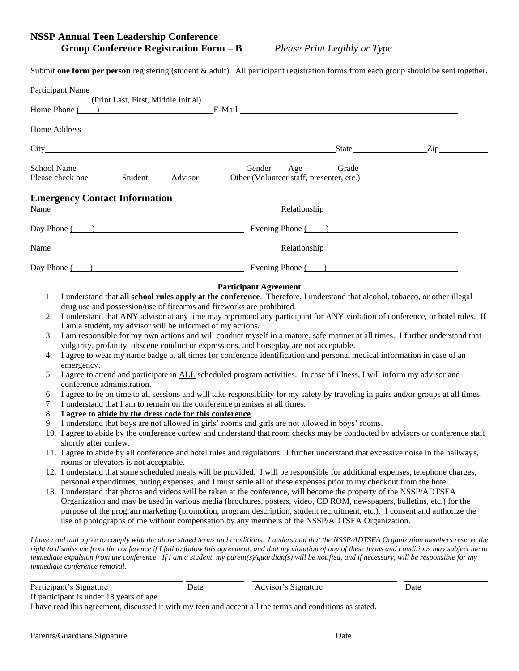#### **NSSP Annual Teen Leadership Conference Group Conference Registration Form – B** *Please Print Legibly or Type*

Submit **one form per person** registering (student & adult). All participant registration forms from each group should be sent together.

|                                  | Participant Name                                                                                                                                                                                                                                                                                                                                                                                                              |      |                                                                                                                                                                                                                                                                                                                                                                                                                                                                                                                                                                                                                                                                                                                                                                                                                                                                                                                                                                                                                                                                                                                                                                                                                                                                                                                                                                                                                                                                                                                                                                                                                                                                                                                                                                                                                                                                                                                                                                                                                                                                                                                                                                                                                                                                                                                                                  |      |
|----------------------------------|-------------------------------------------------------------------------------------------------------------------------------------------------------------------------------------------------------------------------------------------------------------------------------------------------------------------------------------------------------------------------------------------------------------------------------|------|--------------------------------------------------------------------------------------------------------------------------------------------------------------------------------------------------------------------------------------------------------------------------------------------------------------------------------------------------------------------------------------------------------------------------------------------------------------------------------------------------------------------------------------------------------------------------------------------------------------------------------------------------------------------------------------------------------------------------------------------------------------------------------------------------------------------------------------------------------------------------------------------------------------------------------------------------------------------------------------------------------------------------------------------------------------------------------------------------------------------------------------------------------------------------------------------------------------------------------------------------------------------------------------------------------------------------------------------------------------------------------------------------------------------------------------------------------------------------------------------------------------------------------------------------------------------------------------------------------------------------------------------------------------------------------------------------------------------------------------------------------------------------------------------------------------------------------------------------------------------------------------------------------------------------------------------------------------------------------------------------------------------------------------------------------------------------------------------------------------------------------------------------------------------------------------------------------------------------------------------------------------------------------------------------------------------------------------------------|------|
|                                  | (Print Last, First, Middle Initial)                                                                                                                                                                                                                                                                                                                                                                                           |      |                                                                                                                                                                                                                                                                                                                                                                                                                                                                                                                                                                                                                                                                                                                                                                                                                                                                                                                                                                                                                                                                                                                                                                                                                                                                                                                                                                                                                                                                                                                                                                                                                                                                                                                                                                                                                                                                                                                                                                                                                                                                                                                                                                                                                                                                                                                                                  |      |
|                                  |                                                                                                                                                                                                                                                                                                                                                                                                                               |      |                                                                                                                                                                                                                                                                                                                                                                                                                                                                                                                                                                                                                                                                                                                                                                                                                                                                                                                                                                                                                                                                                                                                                                                                                                                                                                                                                                                                                                                                                                                                                                                                                                                                                                                                                                                                                                                                                                                                                                                                                                                                                                                                                                                                                                                                                                                                                  |      |
|                                  |                                                                                                                                                                                                                                                                                                                                                                                                                               |      |                                                                                                                                                                                                                                                                                                                                                                                                                                                                                                                                                                                                                                                                                                                                                                                                                                                                                                                                                                                                                                                                                                                                                                                                                                                                                                                                                                                                                                                                                                                                                                                                                                                                                                                                                                                                                                                                                                                                                                                                                                                                                                                                                                                                                                                                                                                                                  |      |
|                                  |                                                                                                                                                                                                                                                                                                                                                                                                                               |      | School Name Gender Age Grade Grade Grade Student Advisor Grade Grade Student Advisor Grade Grade Grade Student Advisor Grade Grade Student Advisor Grade Grade Student Advisor Grade Grade Student Advisor Grade Grade Student                                                                                                                                                                                                                                                                                                                                                                                                                                                                                                                                                                                                                                                                                                                                                                                                                                                                                                                                                                                                                                                                                                                                                                                                                                                                                                                                                                                                                                                                                                                                                                                                                                                                                                                                                                                                                                                                                                                                                                                                                                                                                                                   |      |
|                                  | <b>Emergency Contact Information</b>                                                                                                                                                                                                                                                                                                                                                                                          |      |                                                                                                                                                                                                                                                                                                                                                                                                                                                                                                                                                                                                                                                                                                                                                                                                                                                                                                                                                                                                                                                                                                                                                                                                                                                                                                                                                                                                                                                                                                                                                                                                                                                                                                                                                                                                                                                                                                                                                                                                                                                                                                                                                                                                                                                                                                                                                  |      |
|                                  |                                                                                                                                                                                                                                                                                                                                                                                                                               |      | Day Phone ( ) Evening Phone ( )                                                                                                                                                                                                                                                                                                                                                                                                                                                                                                                                                                                                                                                                                                                                                                                                                                                                                                                                                                                                                                                                                                                                                                                                                                                                                                                                                                                                                                                                                                                                                                                                                                                                                                                                                                                                                                                                                                                                                                                                                                                                                                                                                                                                                                                                                                                  |      |
|                                  |                                                                                                                                                                                                                                                                                                                                                                                                                               |      |                                                                                                                                                                                                                                                                                                                                                                                                                                                                                                                                                                                                                                                                                                                                                                                                                                                                                                                                                                                                                                                                                                                                                                                                                                                                                                                                                                                                                                                                                                                                                                                                                                                                                                                                                                                                                                                                                                                                                                                                                                                                                                                                                                                                                                                                                                                                                  |      |
|                                  |                                                                                                                                                                                                                                                                                                                                                                                                                               |      | Day Phone ( ) Evening Phone ( )                                                                                                                                                                                                                                                                                                                                                                                                                                                                                                                                                                                                                                                                                                                                                                                                                                                                                                                                                                                                                                                                                                                                                                                                                                                                                                                                                                                                                                                                                                                                                                                                                                                                                                                                                                                                                                                                                                                                                                                                                                                                                                                                                                                                                                                                                                                  |      |
| 3.<br>4.<br>5.<br>6.<br>8.<br>9. | drug use and possession/use of firearms and fireworks are prohibited.<br>I am a student, my advisor will be informed of my actions.<br>emergency.<br>conference administration.<br>7. I understand that I am to remain on the conference premises at all times.<br>I agree to abide by the dress code for this conference.<br>shortly after curfew.<br>rooms or elevators is not acceptable.<br>immediate conference removal. |      | 2. I understand that ANY advisor at any time may reprimand any participant for ANY violation of conference, or hotel rules. If<br>I am responsible for my own actions and will conduct myself in a mature, safe manner at all times. I further understand that<br>vulgarity, profanity, obscene conduct or expressions, and horseplay are not acceptable.<br>I agree to wear my name badge at all times for conference identification and personal medical information in case of an<br>I agree to attend and participate in ALL scheduled program activities. In case of illness, I will inform my advisor and<br>I agree to be on time to all sessions and will take responsibility for my safety by traveling in pairs and/or groups at all times.<br>I understand that boys are not allowed in girls' rooms and girls are not allowed in boys' rooms.<br>10. I agree to abide by the conference curfew and understand that room checks may be conducted by advisors or conference staff<br>11. I agree to abide by all conference and hotel rules and regulations. I further understand that excessive noise in the hallways,<br>12. I understand that some scheduled meals will be provided. I will be responsible for additional expenses, telephone charges,<br>personal expenditures, outing expenses, and I must settle all of these expenses prior to my checkout from the hotel.<br>13. I understand that photos and videos will be taken at the conference, will become the property of the NSSP/ADTSEA<br>Organization and may be used in various media (brochures, posters, video, CD ROM, newspapers, bulletins, etc.) for the<br>purpose of the program marketing (promotion, program description, student recruitment, etc.). I consent and authorize the<br>use of photographs of me without compensation by any members of the NSSP/ADTSEA Organization.<br>I have read and agree to comply with the above stated terms and conditions. I understand that the NSSP/ADTSEA Organization members reserve the<br>right to dismiss me from the conference if I fail to follow this agreement, and that my violation of any of these terms and conditions may subject me to<br>immediate expulsion from the conference. If I am a student, my parent(s)/guardian(s) will be notified, and if necessary, will be responsible for my |      |
|                                  | Participant's Signature                                                                                                                                                                                                                                                                                                                                                                                                       | Date | Advisor's Signature                                                                                                                                                                                                                                                                                                                                                                                                                                                                                                                                                                                                                                                                                                                                                                                                                                                                                                                                                                                                                                                                                                                                                                                                                                                                                                                                                                                                                                                                                                                                                                                                                                                                                                                                                                                                                                                                                                                                                                                                                                                                                                                                                                                                                                                                                                                              | Date |

I have read this agreement, discussed it with my teen and accept all the terms and conditions as stated.

If participant is under 18 years of age.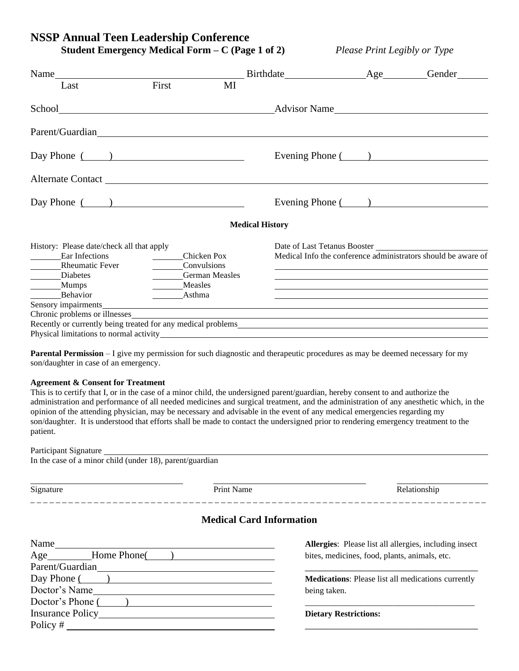**Student Emergency Medical Form – C (Page 1 of 2)** *Please Print Legibly or Type*

| Name                                                                                                                                                                                                                                                  |                                                                                                                                                                                                                                                                                                                                                                                                                                                                                               |                                 | Birthdate Age Gender                                                                                                                                                                                                                                          |                                                                                                                              |
|-------------------------------------------------------------------------------------------------------------------------------------------------------------------------------------------------------------------------------------------------------|-----------------------------------------------------------------------------------------------------------------------------------------------------------------------------------------------------------------------------------------------------------------------------------------------------------------------------------------------------------------------------------------------------------------------------------------------------------------------------------------------|---------------------------------|---------------------------------------------------------------------------------------------------------------------------------------------------------------------------------------------------------------------------------------------------------------|------------------------------------------------------------------------------------------------------------------------------|
| Last                                                                                                                                                                                                                                                  | First                                                                                                                                                                                                                                                                                                                                                                                                                                                                                         | MI                              |                                                                                                                                                                                                                                                               |                                                                                                                              |
|                                                                                                                                                                                                                                                       |                                                                                                                                                                                                                                                                                                                                                                                                                                                                                               |                                 |                                                                                                                                                                                                                                                               |                                                                                                                              |
| Parent/Guardian Lateration Lateration Lateration Lateration Lateration Lateration Lateration Lateration Lateration Lateration Lateration Lateration Lateration Lateration Lateration Lateration Lateration Lateration Laterati                        |                                                                                                                                                                                                                                                                                                                                                                                                                                                                                               |                                 |                                                                                                                                                                                                                                                               |                                                                                                                              |
| Day Phone $\overline{)}$                                                                                                                                                                                                                              |                                                                                                                                                                                                                                                                                                                                                                                                                                                                                               |                                 | Evening Phone ( )                                                                                                                                                                                                                                             |                                                                                                                              |
| Alternate Contact Lawrence and the contract Lawrence and the contract Lawrence and the contract of the contract Lawrence and the contract Lawrence and the contract Lawrence and the contract Lawrence and the contract Lawren                        |                                                                                                                                                                                                                                                                                                                                                                                                                                                                                               |                                 |                                                                                                                                                                                                                                                               |                                                                                                                              |
| Day Phone $\qquad)$                                                                                                                                                                                                                                   |                                                                                                                                                                                                                                                                                                                                                                                                                                                                                               |                                 |                                                                                                                                                                                                                                                               | Evening Phone ( )                                                                                                            |
|                                                                                                                                                                                                                                                       |                                                                                                                                                                                                                                                                                                                                                                                                                                                                                               |                                 | <b>Medical History</b>                                                                                                                                                                                                                                        |                                                                                                                              |
| History: Please date/check all that apply<br>Ear Infections<br>Rheumatic Fever<br>Diabetes<br>Mumps<br>Behavior                                                                                                                                       | Chicken Pox<br><b>Convulsions</b><br>Measles<br>$\frac{1}{2} \left( \frac{1}{2} \right)^{2} \left( \frac{1}{2} \right)^{2} \left( \frac{1}{2} \right)^{2} \left( \frac{1}{2} \right)^{2} \left( \frac{1}{2} \right)^{2} \left( \frac{1}{2} \right)^{2} \left( \frac{1}{2} \right)^{2} \left( \frac{1}{2} \right)^{2} \left( \frac{1}{2} \right)^{2} \left( \frac{1}{2} \right)^{2} \left( \frac{1}{2} \right)^{2} \left( \frac{1}{2} \right)^{2} \left( \frac{1}{2} \right)^{2} \left( \frac$ | <b>German Measles</b><br>Asthma | Date of Last Tetanus Booster<br>the control of the control of the control of the control of the control of the control of the control of the control of the control of the control of the control of the control of the control of the control of the control | Medical Info the conference administrators should be aware of<br><u> 1989 - Johann Stoff, amerikansk politiker (d. 1989)</u> |
| Sensory impairments<br>Chronic problems or illnesses experience and the contract of the contract of the contract of the contract of the contract of the contract of the contract of the contract of the contract of the contract of the contract of t |                                                                                                                                                                                                                                                                                                                                                                                                                                                                                               |                                 |                                                                                                                                                                                                                                                               |                                                                                                                              |
|                                                                                                                                                                                                                                                       |                                                                                                                                                                                                                                                                                                                                                                                                                                                                                               |                                 |                                                                                                                                                                                                                                                               |                                                                                                                              |
| Physical limitations to normal activity_                                                                                                                                                                                                              |                                                                                                                                                                                                                                                                                                                                                                                                                                                                                               |                                 | <u> 1989 - Johann Stoff, deutscher Stoff, der Stoff, der Stoff, der Stoff, der Stoff, der Stoff, der Stoff, der </u>                                                                                                                                          |                                                                                                                              |

**Parental Permission** – I give my permission for such diagnostic and therapeutic procedures as may be deemed necessary for my son/daughter in case of an emergency.

#### **Agreement & Consent for Treatment**

This is to certify that I, or in the case of a minor child, the undersigned parent/guardian, hereby consent to and authorize the administration and performance of all needed medicines and surgical treatment, and the administration of any anesthetic which, in the opinion of the attending physician, may be necessary and advisable in the event of any medical emergencies regarding my son/daughter. It is understood that efforts shall be made to contact the undersigned prior to rendering emergency treatment to the patient.

| Participant Signature |  |
|-----------------------|--|
|-----------------------|--|

In the case of a minor child (under 18), parent/guardian

Signature **Print Name** Print Name Relationship

\_\_\_\_\_\_\_\_\_\_\_\_\_\_\_\_\_\_\_\_\_\_\_

#### **Medical Card Information**

| Name              | Allergies: Please list all allergies, including insect |
|-------------------|--------------------------------------------------------|
| Age Home Phone()  | bites, medicines, food, plants, animals, etc.          |
| Parent/Guardian   |                                                        |
| Day Phone ( )     | Medications: Please list all medications currently     |
| Doctor's Name     | being taken.                                           |
| Doctor's Phone () |                                                        |
| Insurance Policy  | <b>Dietary Restrictions:</b>                           |
| $Policy \#$       |                                                        |
|                   |                                                        |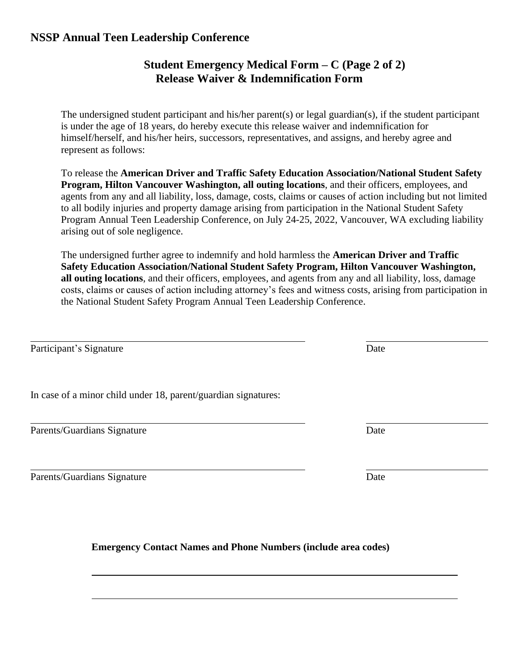## **Student Emergency Medical Form – C (Page 2 of 2) Release Waiver & Indemnification Form**

The undersigned student participant and his/her parent(s) or legal guardian(s), if the student participant is under the age of 18 years, do hereby execute this release waiver and indemnification for himself/herself, and his/her heirs, successors, representatives, and assigns, and hereby agree and represent as follows:

To release the **American Driver and Traffic Safety Education Association/National Student Safety Program, Hilton Vancouver Washington, all outing locations**, and their officers, employees, and agents from any and all liability, loss, damage, costs, claims or causes of action including but not limited to all bodily injuries and property damage arising from participation in the National Student Safety Program Annual Teen Leadership Conference, on July 24-25, 2022, Vancouver, WA excluding liability arising out of sole negligence.

The undersigned further agree to indemnify and hold harmless the **American Driver and Traffic Safety Education Association/National Student Safety Program, Hilton Vancouver Washington, all outing locations**, and their officers, employees, and agents from any and all liability, loss, damage costs, claims or causes of action including attorney's fees and witness costs, arising from participation in the National Student Safety Program Annual Teen Leadership Conference.

Participant's Signature Date

In case of a minor child under 18, parent/guardian signatures:

Parents/Guardians Signature Date

Parents/Guardians Signature Date

**Emergency Contact Names and Phone Numbers (include area codes)**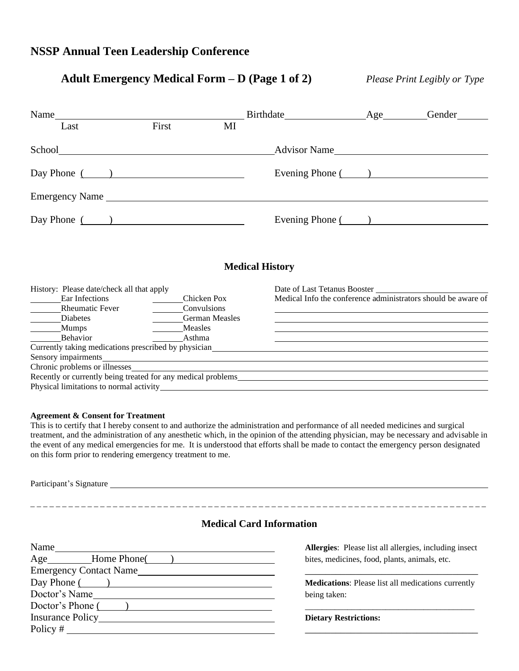# **Adult Emergency Medical Form – D (Page 1 of 2)** *Please Print Legibly or Type*

\_ \_ \_ \_ \_ \_ \_ \_ \_ \_ \_ \_ \_ \_ \_ \_ \_ \_ \_ \_ \_ \_ \_ \_ \_ \_ \_ \_ \_ \_ \_ \_ \_ \_ \_ \_ \_ \_ \_ \_ \_ \_ \_ \_ \_ \_ \_ \_ \_ \_ \_ \_ \_ \_ \_ \_ \_ \_ \_ \_ \_ \_ \_ \_ \_ \_ \_ \_ \_ \_ \_ \_

| Name                                                                                                                                                                                                                           |                                                        |                       | Birthdate Age                | Gender                                                                                                                                                                                                                                                                                                     |
|--------------------------------------------------------------------------------------------------------------------------------------------------------------------------------------------------------------------------------|--------------------------------------------------------|-----------------------|------------------------------|------------------------------------------------------------------------------------------------------------------------------------------------------------------------------------------------------------------------------------------------------------------------------------------------------------|
| Last                                                                                                                                                                                                                           | First                                                  | MI                    |                              |                                                                                                                                                                                                                                                                                                            |
|                                                                                                                                                                                                                                |                                                        |                       | Advisor Name                 |                                                                                                                                                                                                                                                                                                            |
| Day Phone $($ $)$                                                                                                                                                                                                              |                                                        |                       |                              | Evening Phone ( )                                                                                                                                                                                                                                                                                          |
|                                                                                                                                                                                                                                |                                                        |                       |                              |                                                                                                                                                                                                                                                                                                            |
| Day Phone $\overline{)}$                                                                                                                                                                                                       |                                                        |                       |                              | Evening Phone ( )                                                                                                                                                                                                                                                                                          |
|                                                                                                                                                                                                                                |                                                        |                       | <b>Medical History</b>       |                                                                                                                                                                                                                                                                                                            |
| History: Please date/check all that apply                                                                                                                                                                                      |                                                        |                       | Date of Last Tetanus Booster |                                                                                                                                                                                                                                                                                                            |
| Ear Infections<br>Rheumatic Fever<br>Diabetes<br>Mumps<br>Behavior                                                                                                                                                             | <b>Chicken Pox</b><br>Convulsions<br>Measles<br>Asthma | <b>German Measles</b> |                              | Medical Info the conference administrators should be aware of<br><u> 1989 - Johann Barn, amerikan besteman besteman besteman besteman besteman besteman besteman besteman besteman</u><br>and the control of the control of the control of the control of the control of the control of the control of the |
| Currently taking medications prescribed by physician example of the state of the state of the state of the state of the state of the state of the state of the state of the state of the state of the state of the state of th |                                                        |                       |                              |                                                                                                                                                                                                                                                                                                            |
| Sensory impairments                                                                                                                                                                                                            |                                                        |                       |                              |                                                                                                                                                                                                                                                                                                            |
|                                                                                                                                                                                                                                |                                                        |                       |                              |                                                                                                                                                                                                                                                                                                            |
|                                                                                                                                                                                                                                |                                                        |                       |                              |                                                                                                                                                                                                                                                                                                            |
|                                                                                                                                                                                                                                |                                                        |                       |                              |                                                                                                                                                                                                                                                                                                            |

#### **Agreement & Consent for Treatment**

This is to certify that I hereby consent to and authorize the administration and performance of all needed medicines and surgical treatment, and the administration of any anesthetic which, in the opinion of the attending physician, may be necessary and advisable in the event of any medical emergencies for me. It is understood that efforts shall be made to contact the emergency person designated on this form prior to rendering emergency treatment to me.

Participant's Signature

#### **Medical Card Information**

| Name                          | Allergies: Please list all allergies, including insect    |
|-------------------------------|-----------------------------------------------------------|
| Age<br>Home Phone(            | bites, medicines, food, plants, animals, etc.             |
| <b>Emergency Contact Name</b> |                                                           |
| $Day Phone$ ( )               | <b>Medications:</b> Please list all medications currently |
| Doctor's Name                 | being taken:                                              |
| Doctor's Phone ()             |                                                           |
| Insurance Policy              | <b>Dietary Restrictions:</b>                              |
| Policy $#$                    |                                                           |
|                               |                                                           |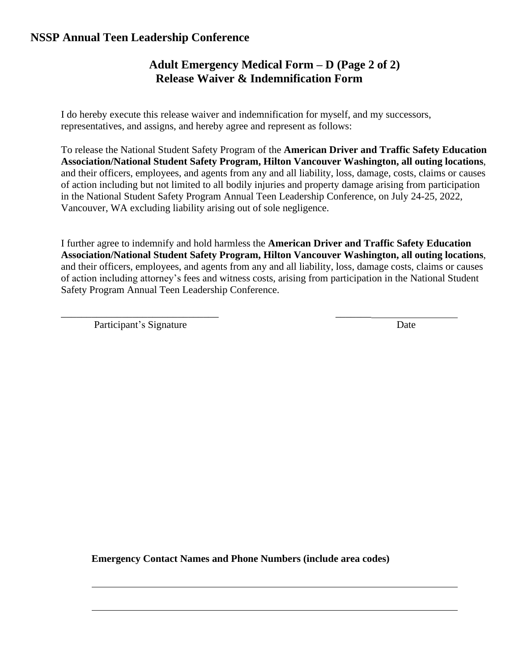# **Adult Emergency Medical Form – D (Page 2 of 2) Release Waiver & Indemnification Form**

I do hereby execute this release waiver and indemnification for myself, and my successors, representatives, and assigns, and hereby agree and represent as follows:

To release the National Student Safety Program of the **American Driver and Traffic Safety Education Association/National Student Safety Program, Hilton Vancouver Washington, all outing locations**, and their officers, employees, and agents from any and all liability, loss, damage, costs, claims or causes of action including but not limited to all bodily injuries and property damage arising from participation in the National Student Safety Program Annual Teen Leadership Conference, on July 24-25, 2022, Vancouver, WA excluding liability arising out of sole negligence.

I further agree to indemnify and hold harmless the **American Driver and Traffic Safety Education Association/National Student Safety Program, Hilton Vancouver Washington, all outing locations**, and their officers, employees, and agents from any and all liability, loss, damage costs, claims or causes of action including attorney's fees and witness costs, arising from participation in the National Student Safety Program Annual Teen Leadership Conference.

\_\_\_\_\_\_\_\_\_\_\_\_\_\_\_\_\_\_\_\_\_\_\_\_\_\_\_\_\_\_\_ \_\_\_\_\_\_\_

Participant's Signature Date

**Emergency Contact Names and Phone Numbers (include area codes)**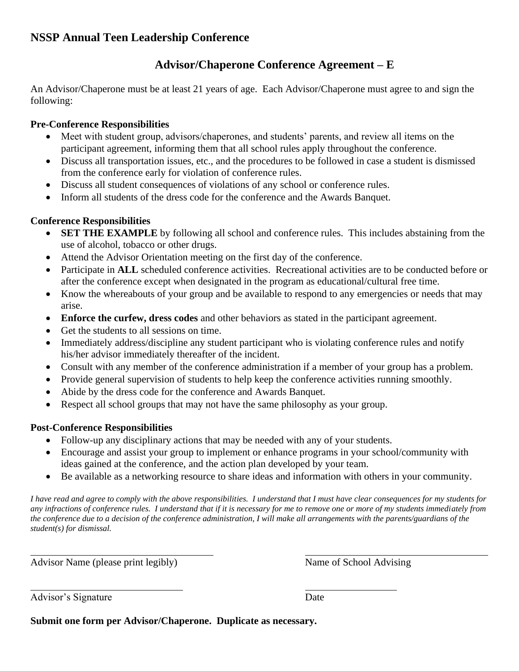# **Advisor/Chaperone Conference Agreement – E**

An Advisor/Chaperone must be at least 21 years of age. Each Advisor/Chaperone must agree to and sign the following:

#### **Pre-Conference Responsibilities**

- Meet with student group, advisors/chaperones, and students' parents, and review all items on the participant agreement, informing them that all school rules apply throughout the conference.
- Discuss all transportation issues, etc., and the procedures to be followed in case a student is dismissed from the conference early for violation of conference rules.
- Discuss all student consequences of violations of any school or conference rules.
- Inform all students of the dress code for the conference and the Awards Banquet.

## **Conference Responsibilities**

- **SET THE EXAMPLE** by following all school and conference rules. This includes abstaining from the use of alcohol, tobacco or other drugs.
- Attend the Advisor Orientation meeting on the first day of the conference.
- Participate in **ALL** scheduled conference activities. Recreational activities are to be conducted before or after the conference except when designated in the program as educational/cultural free time.
- Know the whereabouts of your group and be available to respond to any emergencies or needs that may arise.
- **Enforce the curfew, dress codes** and other behaviors as stated in the participant agreement.
- Get the students to all sessions on time.
- Immediately address/discipline any student participant who is violating conference rules and notify his/her advisor immediately thereafter of the incident.
- Consult with any member of the conference administration if a member of your group has a problem.
- Provide general supervision of students to help keep the conference activities running smoothly.
- Abide by the dress code for the conference and Awards Banquet.
- Respect all school groups that may not have the same philosophy as your group.

#### **Post-Conference Responsibilities**

- Follow-up any disciplinary actions that may be needed with any of your students.
- Encourage and assist your group to implement or enhance programs in your school/community with ideas gained at the conference, and the action plan developed by your team.
- Be available as a networking resource to share ideas and information with others in your community.

*I have read and agree to comply with the above responsibilities. I understand that I must have clear consequences for my students for any infractions of conference rules. I understand that if it is necessary for me to remove one or more of my students immediately from the conference due to a decision of the conference administration, I will make all arrangements with the parents/guardians of the student(s) for dismissal.*

Advisor Name (please print legibly) Name of School Advising

Advisor's Signature Date

**Submit one form per Advisor/Chaperone. Duplicate as necessary.**